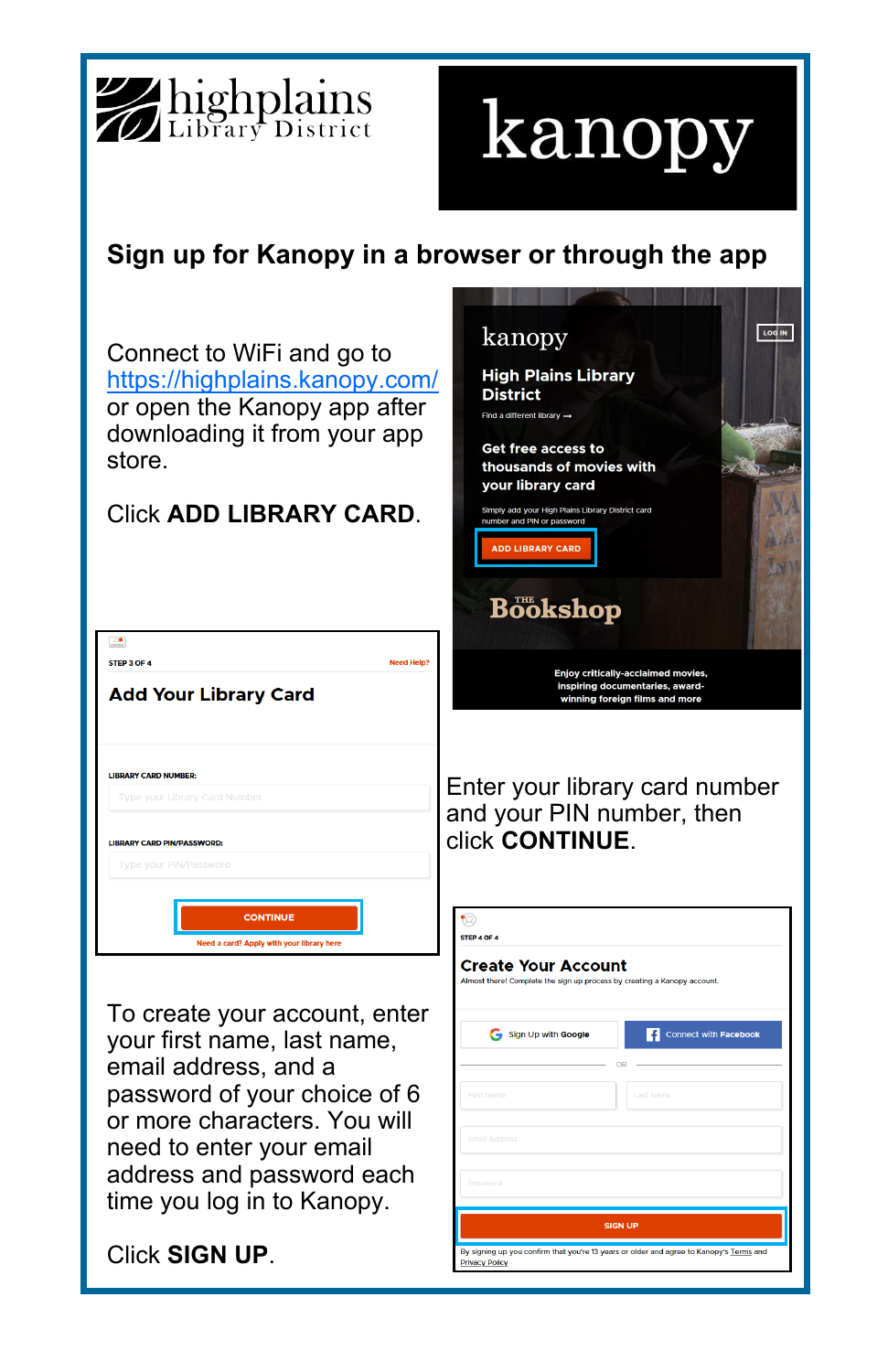

## kanopy

## **Sign up for Kanopy in a browser or through the app**

Connect to WiFi and go to <https://highplains.kanopy.com/> or open the Kanopy app after downloading it from your app store.

## Click **ADD LIBRARY CARD**.

| $\mathbf{r}$                              |                   |
|-------------------------------------------|-------------------|
| STEP 3 OF 4                               | <b>Need Help?</b> |
| <b>Add Your Library Card</b>              |                   |
| <b>LIBRARY CARD NUMBER:</b>               |                   |
| <b>Type your Library Card Number</b>      |                   |
|                                           |                   |
| <b>LIBRARY CARD PIN/PASSWORD:</b>         |                   |
| Type your PIN/Password                    |                   |
|                                           |                   |
| <b>CONTINUE</b>                           |                   |
| Need a card? Apply with your library here |                   |

To create your account, enter your first name, last name, email address, and a password of your choice of 6 or more characters. You will need to enter your email address and password each time you log in to Kanopy.

Click **SIGN UP**.



ng up you confirm that you're 13 years or older and agree to Kanopy's Terms and

**Privacy Policy**